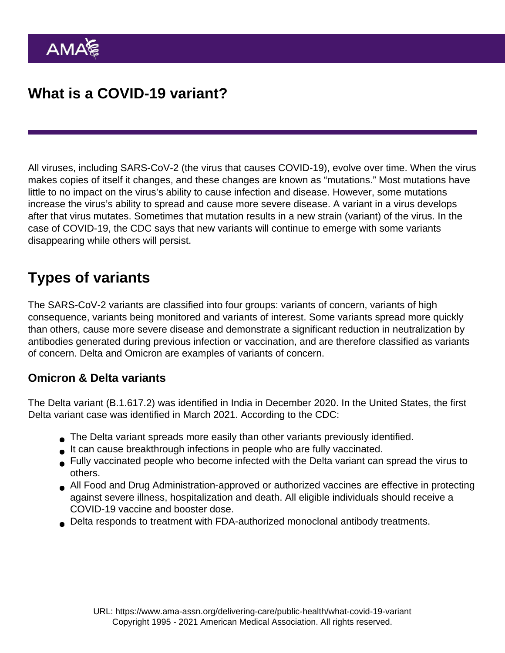All viruses, including SARS-CoV-2 (the virus that causes COVID-19), evolve over time. When the virus makes copies of itself it changes, and these changes are known as "mutations." Most mutations have little to no impact on the virus's ability to cause infection and disease. However, some mutations increase the virus's ability to spread and cause more severe disease. A variant in a virus develops after that virus mutates. Sometimes that mutation results in a new strain (variant) of the virus. In the case of COVID-19, the CDC says that new variants will [continue to emerge](https://www.cdc.gov/coronavirus/2019-ncov/variants/about-variants.html?CDC_AA_refVal=https://www.cdc.gov/coronavirus/2019-ncov/variants/variant.html) with some variants disappearing while others will persist.

# Types of variants

The SARS-CoV-2 variants are classified into [four groups](https://www.cdc.gov/coronavirus/2019-ncov/variants/variant-classifications.html): variants of concern, variants of high consequence, variants being monitored and variants of interest. Some variants spread more quickly than others, cause more severe disease and demonstrate a significant reduction in neutralization by antibodies generated during previous infection or vaccination, and are therefore classified as variants of concern. Delta and Omicron are examples of variants of concern.

### Omicron & Delta variants

The Delta variant (B.1.617.2) was identified in India in December 2020. In the United States, the first Delta variant case was identified in March 2021. According to the CDC:

- The Delta variant spreads more easily than other variants previously identified.
- It can cause breakthrough infections in people who are fully vaccinated.
- Fully vaccinated people who become infected with the Delta variant can spread the virus to others.
- All Food and Drug Administration-approved or authorized vaccines are effective in protecting against severe illness, hospitalization and death. All eligible individuals should receive a COVID-19 vaccine and booster dose.
- Delta responds to treatment with FDA-authorized monoclonal antibody treatments.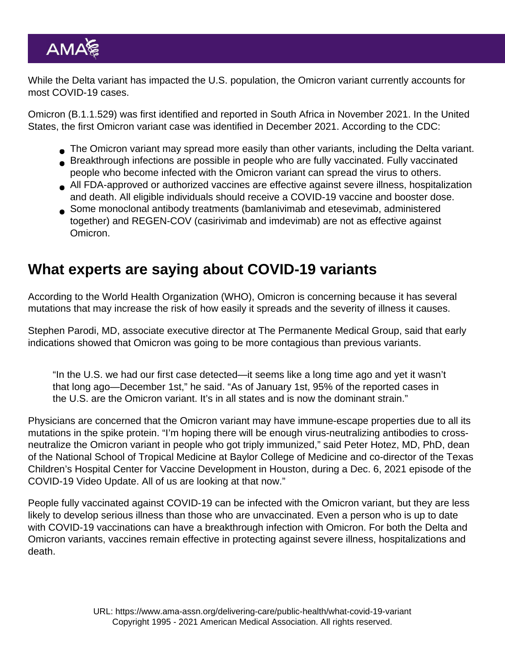While the Delta variant has impacted the U.S. population, the Omicron variant currently accounts for most COVID-19 cases.

[Omicron](https://www.ama-assn.org/delivering-care/public-health/what-omicron-variant) (B.1.1.529) was first identified and reported in South Africa in November 2021. In the United States, the first Omicron variant case was identified in December 2021. According to the CDC:

- The Omicron variant may spread more easily than other variants, including the Delta variant.
- Breakthrough infections are possible in people who are fully vaccinated. Fully vaccinated people who become infected with the Omicron variant can spread the virus to others.
- All FDA-approved or authorized vaccines are effective against severe illness, hospitalization and death. All eligible individuals should receive a COVID-19 vaccine and booster dose.
- Some monoclonal antibody treatments (bamlanivimab and etesevimab, administered together) and REGEN-COV (casirivimab and imdevimab) are not as effective against Omicron.

## What experts are saying about COVID-19 variants

According to the [World Health Organization](https://www.who.int/en/activities/tracking-SARS-CoV-2-variants/) (WHO), Omicron is concerning because it has several mutations that may increase the risk of how easily it spreads and the severity of illness it causes.

Stephen Parodi, MD, associate executive director at The Permanente Medical Group, said that early indications showed that Omicron was going to be [more contagious](https://www.ama-assn.org/delivering-care/public-health/what-doctors-wish-patients-knew-about-covid-19-omicron-variant) than previous variants.

"In the U.S. we had our first case detected—it seems like a long time ago and yet it wasn't that long ago—December 1st," he said. "As of January 1st, 95% of the reported cases in the U.S. are the Omicron variant. It's in all states and is now the dominant strain."

Physicians are [concerned](https://www.ama-assn.org/delivering-care/public-health/delta-omicron-variant-tag-team-makes-booster-doses-essential) that the Omicron variant may have immune-escape properties due to all its mutations in the spike protein. "I'm hoping there will be enough virus-neutralizing antibodies to crossneutralize the Omicron variant in people who got triply immunized," said Peter Hotez, MD, PhD, dean of the National School of Tropical Medicine at Baylor College of Medicine and co-director of the Texas Children's Hospital Center for Vaccine Development in Houston, during a [Dec. 6, 2021 episode of the](https://www.ama-assn.org/delivering-care/public-health/delta-omicron-variant-tag-team-makes-booster-doses-essential) [COVID-19 Video Update](https://www.ama-assn.org/delivering-care/public-health/delta-omicron-variant-tag-team-makes-booster-doses-essential). All of us are looking at that now."

People fully vaccinated against COVID-19 can be infected with the Omicron variant, but they are less likely to develop serious illness than those who are unvaccinated. Even a person who is [up to date](https://www.cdc.gov/coronavirus/2019-ncov/vaccines/stay-up-to-date.html) with COVID-19 vaccinations can have a [breakthrough infection](https://www.ama-assn.org/delivering-care/public-health/what-doctors-wish-patients-knew-about-breakthrough-covid-infections) with Omicron. For both the Delta and Omicron variants, vaccines remain effective in protecting against severe illness, hospitalizations and death.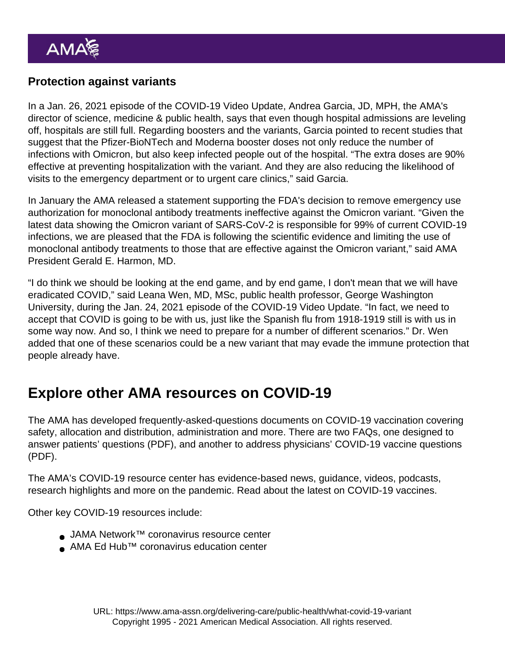#### Protection against variants

In a [Jan. 26, 2021 episode](https://www.ama-assn.org/delivering-care/public-health/andrea-garcia-jd-mph-discusses-newest-research-omicron) of the COVID-19 Video Update, Andrea Garcia, JD, MPH, the AMA's director of science, medicine & public health, says that even though hospital admissions are leveling off, hospitals are still full. Regarding [boosters](https://www.ama-assn.org/delivering-care/public-health/what-covid-19-booster-dose) and the variants, [Garcia pointed](https://www.ama-assn.org/delivering-care/public-health/andrea-garcia-jd-mph-discusses-newest-research-omicron) to recent studies that suggest that the Pfizer-BioNTech and Moderna booster doses not only reduce the number of infections with Omicron, but also keep infected people out of the hospital. "The extra doses are 90% effective at preventing hospitalization with the variant. And they are also reducing the likelihood of visits to the emergency department or to urgent care clinics," said Garcia.

In January the AMA [released a statement](https://www.ama-assn.org/press-center/press-releases/ama-statement-fda-eua-monoclonal-antibody-treatments) supporting the FDA's decision to remove emergency use authorization for monoclonal antibody treatments ineffective against the Omicron variant. "Given the latest data showing the Omicron variant of SARS-CoV-2 is responsible for 99% of current COVID-19 infections, we are pleased that the FDA is following the scientific evidence and limiting the use of monoclonal antibody treatments to those that are effective against the Omicron variant," said AMA President Gerald E. Harmon, MD.

"I do think we should be looking at the end game, and by end game, I don't mean that we will have eradicated COVID," said Leana Wen, MD, MSc, public health professor, George Washington University, during the [Jan. 24, 2021 episode](https://www.ama-assn.org/delivering-care/public-health/leana-wen-md-msc-assesses-covid-endgame-post-omicron-surge) of the COVID-19 Video Update. "In fact, we need to accept that COVID is going to be with us, just like the Spanish flu from 1918-1919 still is with us in some way now. And so, I think we need to prepare for a number of different scenarios." Dr. Wen added that one of these scenarios could be a new variant that may evade the immune protection that people already have.

# Explore other AMA resources on COVID-19

The AMA has developed frequently-asked-questions documents on COVID-19 vaccination covering safety, allocation and distribution, administration and more. There are two FAQs, one designed to answer [patients' questions](https://www.ama-assn.org/system/files/2020-12/covid-19-vaccine-patient-faqs.pdf) (PDF), and another to address [physicians' COVID-19 vaccine questions](https://www.ama-assn.org/system/files/2020-12/covid-19-vaccine-physician-faqs.pdf) (PDF).

The AMA's [COVID-19 resource center](https://www.ama-assn.org/delivering-care/public-health/covid-19-2019-novel-coronavirus-resource-center-physicians) has evidence-based [news](https://www.ama-assn.org/topics/coronavirus-covid-19), guidance, [videos,](https://www.ama-assn.org/series/covid-19-video-update) podcasts, research highlights and more on the pandemic. Read about the latest on [COVID-19 vaccines.](https://www.ama-assn.org/delivering-care/public-health/covid-19-vaccines)

Other key COVID-19 resources include:

- [JAMA Network™ coronavirus resource center](https://jamanetwork.com/journals/jama/pages/coronavirus-alert)
- [AMA Ed Hub](https://edhub.ama-assn.org/coronavirus-ed-center)<sup>[™](https://jamanetwork.com/journals/jama/pages/coronavirus-alert)</sup> [coronavirus education center](https://edhub.ama-assn.org/coronavirus-ed-center)